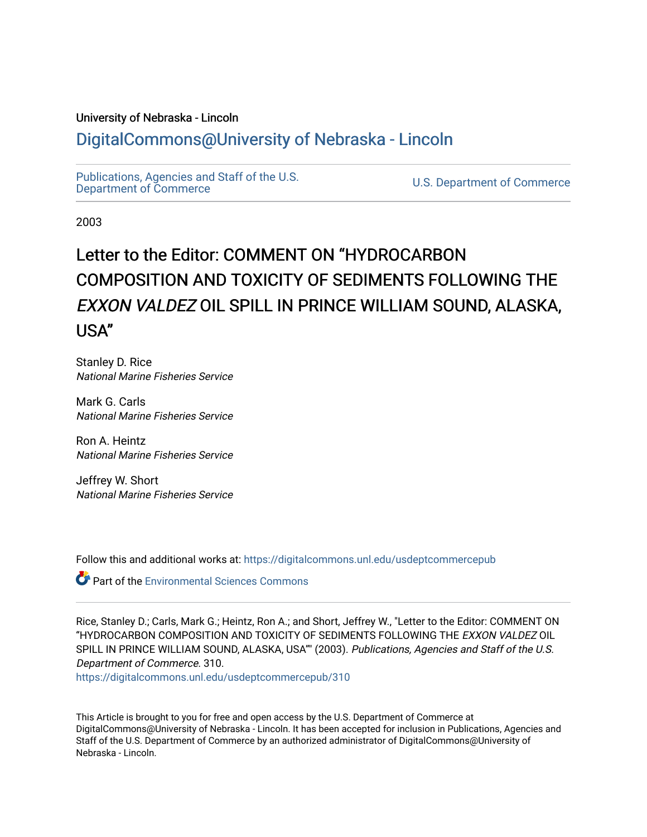## University of Nebraska - Lincoln [DigitalCommons@University of Nebraska - Lincoln](https://digitalcommons.unl.edu/)

[Publications, Agencies and Staff of the U.S.](https://digitalcommons.unl.edu/usdeptcommercepub)

U.S. [Department of Commerce](https://digitalcommons.unl.edu/usdeptcommercepub)

2003

# Letter to the Editor: COMMENT ON "HYDROCARBON COMPOSITION AND TOXICITY OF SEDIMENTS FOLLOWING THE EXXON VALDEZ OIL SPILL IN PRINCE WILLIAM SOUND, ALASKA, USA''

Stanley D. Rice National Marine Fisheries Service

Mark G. Carls National Marine Fisheries Service

Ron A. Heintz National Marine Fisheries Service

Jeffrey W. Short National Marine Fisheries Service

Follow this and additional works at: [https://digitalcommons.unl.edu/usdeptcommercepub](https://digitalcommons.unl.edu/usdeptcommercepub?utm_source=digitalcommons.unl.edu%2Fusdeptcommercepub%2F310&utm_medium=PDF&utm_campaign=PDFCoverPages)

Part of the [Environmental Sciences Commons](http://network.bepress.com/hgg/discipline/167?utm_source=digitalcommons.unl.edu%2Fusdeptcommercepub%2F310&utm_medium=PDF&utm_campaign=PDFCoverPages)

Rice, Stanley D.; Carls, Mark G.; Heintz, Ron A.; and Short, Jeffrey W., "Letter to the Editor: COMMENT ON ''HYDROCARBON COMPOSITION AND TOXICITY OF SEDIMENTS FOLLOWING THE EXXON VALDEZ OIL SPILL IN PRINCE WILLIAM SOUND, ALASKA, USA"" (2003). Publications, Agencies and Staff of the U.S. Department of Commerce. 310.

[https://digitalcommons.unl.edu/usdeptcommercepub/310](https://digitalcommons.unl.edu/usdeptcommercepub/310?utm_source=digitalcommons.unl.edu%2Fusdeptcommercepub%2F310&utm_medium=PDF&utm_campaign=PDFCoverPages) 

This Article is brought to you for free and open access by the U.S. Department of Commerce at DigitalCommons@University of Nebraska - Lincoln. It has been accepted for inclusion in Publications, Agencies and Staff of the U.S. Department of Commerce by an authorized administrator of DigitalCommons@University of Nebraska - Lincoln.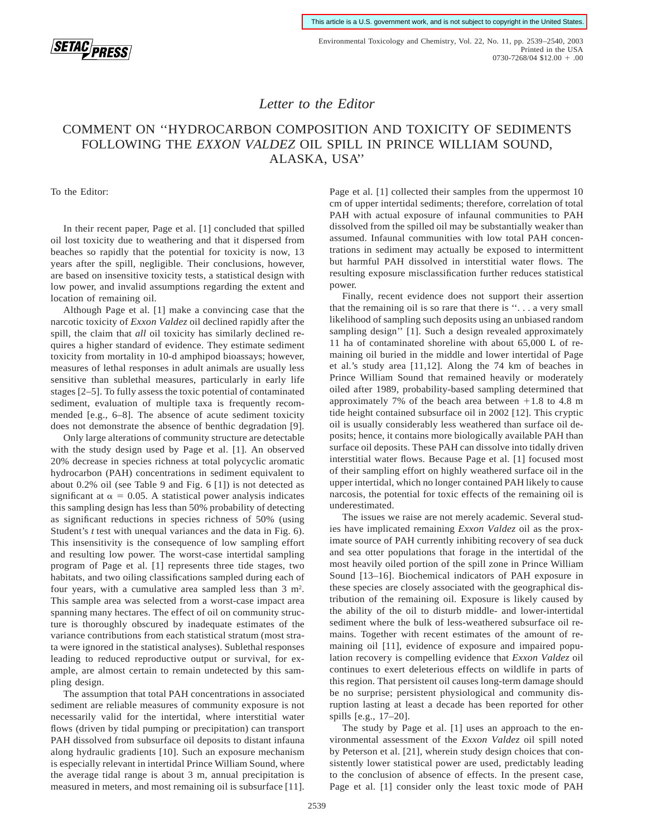

Environmental Toxicology and Chemistry, Vol. 22, No. 11, pp. 2539–2540, 2003 Printed in the USA  $0730 - 7268/04$  \$12.00 + .00

### *Letter to the Editor*

## COMMENT ON ''HYDROCARBON COMPOSITION AND TOXICITY OF SEDIMENTS FOLLOWING THE *EXXON VALDEZ* OIL SPILL IN PRINCE WILLIAM SOUND, ALASKA, USA''

To the Editor:

In their recent paper, Page et al. [1] concluded that spilled oil lost toxicity due to weathering and that it dispersed from beaches so rapidly that the potential for toxicity is now, 13 years after the spill, negligible. Their conclusions, however, are based on insensitive toxicity tests, a statistical design with low power, and invalid assumptions regarding the extent and location of remaining oil.

Although Page et al. [1] make a convincing case that the narcotic toxicity of *Exxon Valdez* oil declined rapidly after the spill, the claim that *all* oil toxicity has similarly declined requires a higher standard of evidence. They estimate sediment toxicity from mortality in 10-d amphipod bioassays; however, measures of lethal responses in adult animals are usually less sensitive than sublethal measures, particularly in early life stages [2–5]. To fully assess the toxic potential of contaminated sediment, evaluation of multiple taxa is frequently recommended [e.g., 6–8]. The absence of acute sediment toxicity does not demonstrate the absence of benthic degradation [9].

Only large alterations of community structure are detectable with the study design used by Page et al. [1]. An observed 20% decrease in species richness at total polycyclic aromatic hydrocarbon (PAH) concentrations in sediment equivalent to about 0.2% oil (see Table 9 and Fig. 6 [1]) is not detected as significant at  $\alpha = 0.05$ . A statistical power analysis indicates this sampling design has less than 50% probability of detecting as significant reductions in species richness of 50% (using Student's *t* test with unequal variances and the data in Fig. 6). This insensitivity is the consequence of low sampling effort and resulting low power. The worst-case intertidal sampling program of Page et al. [1] represents three tide stages, two habitats, and two oiling classifications sampled during each of four years, with a cumulative area sampled less than  $3 \text{ m}^2$ . This sample area was selected from a worst-case impact area spanning many hectares. The effect of oil on community structure is thoroughly obscured by inadequate estimates of the variance contributions from each statistical stratum (most strata were ignored in the statistical analyses). Sublethal responses leading to reduced reproductive output or survival, for example, are almost certain to remain undetected by this sampling design.

The assumption that total PAH concentrations in associated sediment are reliable measures of community exposure is not necessarily valid for the intertidal, where interstitial water flows (driven by tidal pumping or precipitation) can transport PAH dissolved from subsurface oil deposits to distant infauna along hydraulic gradients [10]. Such an exposure mechanism is especially relevant in intertidal Prince William Sound, where the average tidal range is about 3 m, annual precipitation is measured in meters, and most remaining oil is subsurface [11].

Page et al. [1] collected their samples from the uppermost 10 cm of upper intertidal sediments; therefore, correlation of total PAH with actual exposure of infaunal communities to PAH dissolved from the spilled oil may be substantially weaker than assumed. Infaunal communities with low total PAH concentrations in sediment may actually be exposed to intermittent but harmful PAH dissolved in interstitial water flows. The resulting exposure misclassification further reduces statistical power.

Finally, recent evidence does not support their assertion that the remaining oil is so rare that there is ''. . . a very small likelihood of sampling such deposits using an unbiased random sampling design'' [1]. Such a design revealed approximately 11 ha of contaminated shoreline with about 65,000 L of remaining oil buried in the middle and lower intertidal of Page et al.'s study area [11,12]. Along the 74 km of beaches in Prince William Sound that remained heavily or moderately oiled after 1989, probability-based sampling determined that approximately 7% of the beach area between  $+1.8$  to 4.8 m tide height contained subsurface oil in 2002 [12]. This cryptic oil is usually considerably less weathered than surface oil deposits; hence, it contains more biologically available PAH than surface oil deposits. These PAH can dissolve into tidally driven interstitial water flows. Because Page et al. [1] focused most of their sampling effort on highly weathered surface oil in the upper intertidal, which no longer contained PAH likely to cause narcosis, the potential for toxic effects of the remaining oil is underestimated.

The issues we raise are not merely academic. Several studies have implicated remaining *Exxon Valdez* oil as the proximate source of PAH currently inhibiting recovery of sea duck and sea otter populations that forage in the intertidal of the most heavily oiled portion of the spill zone in Prince William Sound [13–16]. Biochemical indicators of PAH exposure in these species are closely associated with the geographical distribution of the remaining oil. Exposure is likely caused by the ability of the oil to disturb middle- and lower-intertidal sediment where the bulk of less-weathered subsurface oil remains. Together with recent estimates of the amount of remaining oil [11], evidence of exposure and impaired population recovery is compelling evidence that *Exxon Valdez* oil continues to exert deleterious effects on wildlife in parts of this region. That persistent oil causes long-term damage should be no surprise; persistent physiological and community disruption lasting at least a decade has been reported for other spills [e.g., 17–20].

The study by Page et al. [1] uses an approach to the environmental assessment of the *Exxon Valdez* oil spill noted by Peterson et al. [21], wherein study design choices that consistently lower statistical power are used, predictably leading to the conclusion of absence of effects. In the present case, Page et al. [1] consider only the least toxic mode of PAH